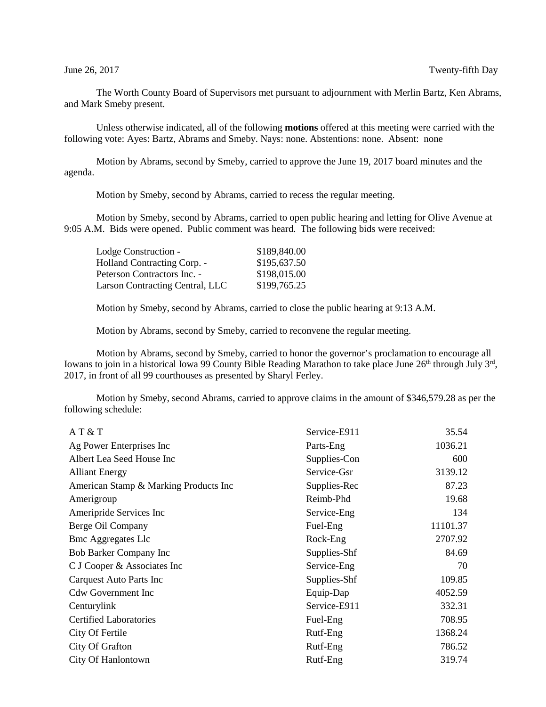The Worth County Board of Supervisors met pursuant to adjournment with Merlin Bartz, Ken Abrams, and Mark Smeby present.

Unless otherwise indicated, all of the following **motions** offered at this meeting were carried with the following vote: Ayes: Bartz, Abrams and Smeby. Nays: none. Abstentions: none. Absent: none

Motion by Abrams, second by Smeby, carried to approve the June 19, 2017 board minutes and the agenda.

Motion by Smeby, second by Abrams, carried to recess the regular meeting.

Motion by Smeby, second by Abrams, carried to open public hearing and letting for Olive Avenue at 9:05 A.M. Bids were opened. Public comment was heard. The following bids were received:

| \$189,840.00 |
|--------------|
| \$195,637.50 |
| \$198,015.00 |
| \$199,765.25 |
|              |

Motion by Smeby, second by Abrams, carried to close the public hearing at 9:13 A.M.

Motion by Abrams, second by Smeby, carried to reconvene the regular meeting.

Motion by Abrams, second by Smeby, carried to honor the governor's proclamation to encourage all Iowans to join in a historical Iowa 99 County Bible Reading Marathon to take place June 26<sup>th</sup> through July 3<sup>rd</sup>, 2017, in front of all 99 courthouses as presented by Sharyl Ferley.

Motion by Smeby, second Abrams, carried to approve claims in the amount of \$346,579.28 as per the following schedule:

| AT & T                                | Service-E911 | 35.54    |
|---------------------------------------|--------------|----------|
| Ag Power Enterprises Inc              | Parts-Eng    | 1036.21  |
| Albert Lea Seed House Inc             | Supplies-Con | 600      |
| <b>Alliant Energy</b>                 | Service-Gsr  | 3139.12  |
| American Stamp & Marking Products Inc | Supplies-Rec | 87.23    |
| Amerigroup                            | Reimb-Phd    | 19.68    |
| Ameripride Services Inc               | Service-Eng  | 134      |
| Berge Oil Company                     | Fuel-Eng     | 11101.37 |
| <b>Bmc Aggregates Llc</b>             | Rock-Eng     | 2707.92  |
| <b>Bob Barker Company Inc</b>         | Supplies-Shf | 84.69    |
| C J Cooper & Associates Inc           | Service-Eng  | 70       |
| Carquest Auto Parts Inc               | Supplies-Shf | 109.85   |
| <b>Cdw Government Inc</b>             | Equip-Dap    | 4052.59  |
| Centurylink                           | Service-E911 | 332.31   |
| <b>Certified Laboratories</b>         | Fuel-Eng     | 708.95   |
| City Of Fertile                       | Rutf-Eng     | 1368.24  |
| City Of Grafton                       | Rutf-Eng     | 786.52   |
| City Of Hanlontown                    | Rutf-Eng     | 319.74   |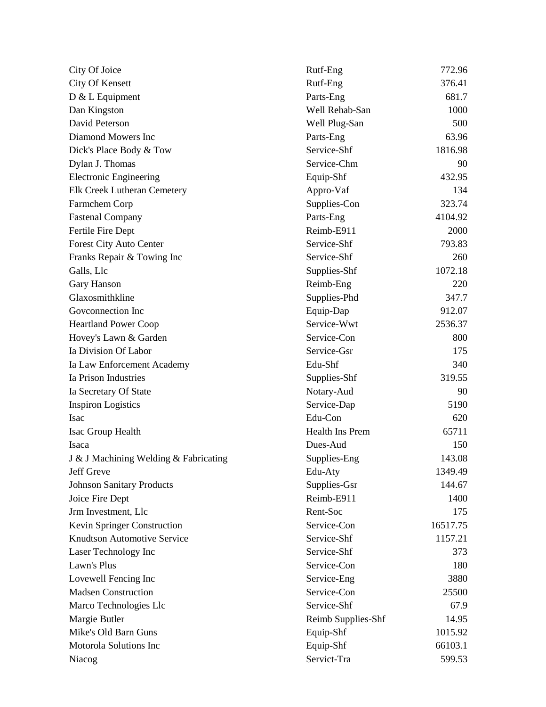| City Of Joice                         | Rutf-Eng               | 772.96   |
|---------------------------------------|------------------------|----------|
| City Of Kensett                       | Rutf-Eng               | 376.41   |
| D & L Equipment                       | Parts-Eng              | 681.7    |
| Dan Kingston                          | Well Rehab-San         | 1000     |
| David Peterson                        | Well Plug-San          | 500      |
| Diamond Mowers Inc                    | Parts-Eng              | 63.96    |
| Dick's Place Body & Tow               | Service-Shf            | 1816.98  |
| Dylan J. Thomas                       | Service-Chm            | 90       |
| <b>Electronic Engineering</b>         | Equip-Shf              | 432.95   |
| Elk Creek Lutheran Cemetery           | Appro-Vaf              | 134      |
| Farmchem Corp                         | Supplies-Con           | 323.74   |
| <b>Fastenal Company</b>               | Parts-Eng              | 4104.92  |
| Fertile Fire Dept                     | Reimb-E911             | 2000     |
| Forest City Auto Center               | Service-Shf            | 793.83   |
| Franks Repair & Towing Inc            | Service-Shf            | 260      |
| Galls, Llc                            | Supplies-Shf           | 1072.18  |
| Gary Hanson                           | Reimb-Eng              | 220      |
| Glaxosmithkline                       | Supplies-Phd           | 347.7    |
| Govconnection Inc                     | Equip-Dap              | 912.07   |
| <b>Heartland Power Coop</b>           | Service-Wwt            | 2536.37  |
| Hovey's Lawn & Garden                 | Service-Con            | 800      |
| Ia Division Of Labor                  | Service-Gsr            | 175      |
| Ia Law Enforcement Academy            | Edu-Shf                | 340      |
| Ia Prison Industries                  | Supplies-Shf           | 319.55   |
| Ia Secretary Of State                 | Notary-Aud             | 90       |
| <b>Inspiron Logistics</b>             | Service-Dap            | 5190     |
| <b>Isac</b>                           | Edu-Con                | 620      |
| Isac Group Health                     | <b>Health Ins Prem</b> | 65711    |
| Isaca                                 | Dues-Aud               | 150      |
| J & J Machining Welding & Fabricating | Supplies-Eng           | 143.08   |
| Jeff Greve                            | Edu-Aty                | 1349.49  |
| <b>Johnson Sanitary Products</b>      | Supplies-Gsr           | 144.67   |
| Joice Fire Dept                       | Reimb-E911             | 1400     |
| Jrm Investment, Llc                   | Rent-Soc               | 175      |
| Kevin Springer Construction           | Service-Con            | 16517.75 |
| <b>Knudtson Automotive Service</b>    | Service-Shf            | 1157.21  |
| Laser Technology Inc                  | Service-Shf            | 373      |
| Lawn's Plus                           | Service-Con            | 180      |
| Lovewell Fencing Inc                  | Service-Eng            | 3880     |
| <b>Madsen Construction</b>            | Service-Con            | 25500    |
| Marco Technologies Llc                | Service-Shf            | 67.9     |
| Margie Butler                         | Reimb Supplies-Shf     | 14.95    |
| Mike's Old Barn Guns                  | Equip-Shf              | 1015.92  |
| Motorola Solutions Inc                | Equip-Shf              | 66103.1  |
| Niacog                                | Servict-Tra            | 599.53   |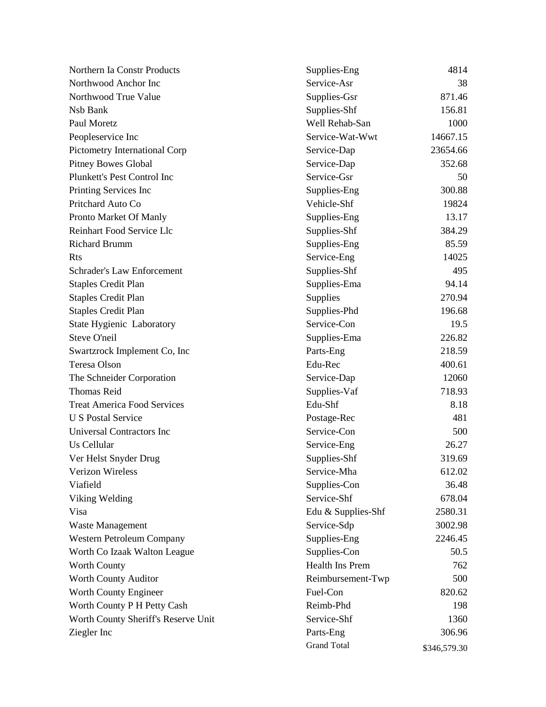| Northern Ia Constr Products         | Supplies-Eng           | 4814         |
|-------------------------------------|------------------------|--------------|
| Northwood Anchor Inc                | Service-Asr            | 38           |
| Northwood True Value                | Supplies-Gsr           | 871.46       |
| Nsb Bank                            | Supplies-Shf           | 156.81       |
| Paul Moretz                         | Well Rehab-San         | 1000         |
| Peopleservice Inc                   | Service-Wat-Wwt        | 14667.15     |
| Pictometry International Corp       | Service-Dap            | 23654.66     |
| <b>Pitney Bowes Global</b>          | Service-Dap            | 352.68       |
| Plunkett's Pest Control Inc         | Service-Gsr            | 50           |
| Printing Services Inc               | Supplies-Eng           | 300.88       |
| Pritchard Auto Co                   | Vehicle-Shf            | 19824        |
| Pronto Market Of Manly              | Supplies-Eng           | 13.17        |
| Reinhart Food Service Llc           | Supplies-Shf           | 384.29       |
| <b>Richard Brumm</b>                | Supplies-Eng           | 85.59        |
| Rts                                 | Service-Eng            | 14025        |
| <b>Schrader's Law Enforcement</b>   | Supplies-Shf           | 495          |
| <b>Staples Credit Plan</b>          | Supplies-Ema           | 94.14        |
| <b>Staples Credit Plan</b>          | Supplies               | 270.94       |
| <b>Staples Credit Plan</b>          | Supplies-Phd           | 196.68       |
| <b>State Hygienic Laboratory</b>    | Service-Con            | 19.5         |
| Steve O'neil                        | Supplies-Ema           | 226.82       |
| Swartzrock Implement Co, Inc        | Parts-Eng              | 218.59       |
| Teresa Olson                        | Edu-Rec                | 400.61       |
| The Schneider Corporation           | Service-Dap            | 12060        |
| <b>Thomas Reid</b>                  | Supplies-Vaf           | 718.93       |
| <b>Treat America Food Services</b>  | Edu-Shf                | 8.18         |
| <b>U S Postal Service</b>           | Postage-Rec            | 481          |
| Universal Contractors Inc           | Service-Con            | 500          |
| Us Cellular                         | Service-Eng            | 26.27        |
| Ver Helst Snyder Drug               | Supplies-Shf           | 319.69       |
| <b>Verizon Wireless</b>             | Service-Mha            | 612.02       |
| Viafield                            | Supplies-Con           | 36.48        |
| Viking Welding                      | Service-Shf            | 678.04       |
| Visa                                | Edu & Supplies-Shf     | 2580.31      |
| <b>Waste Management</b>             | Service-Sdp            | 3002.98      |
| <b>Western Petroleum Company</b>    | Supplies-Eng           | 2246.45      |
| Worth Co Izaak Walton League        | Supplies-Con           | 50.5         |
| <b>Worth County</b>                 | <b>Health Ins Prem</b> | 762          |
| Worth County Auditor                | Reimbursement-Twp      | 500          |
| Worth County Engineer               | Fuel-Con               | 820.62       |
| Worth County P H Petty Cash         | Reimb-Phd              | 198          |
| Worth County Sheriff's Reserve Unit | Service-Shf            | 1360         |
| Ziegler Inc                         | Parts-Eng              | 306.96       |
|                                     | <b>Grand Total</b>     | \$346,579.30 |
|                                     |                        |              |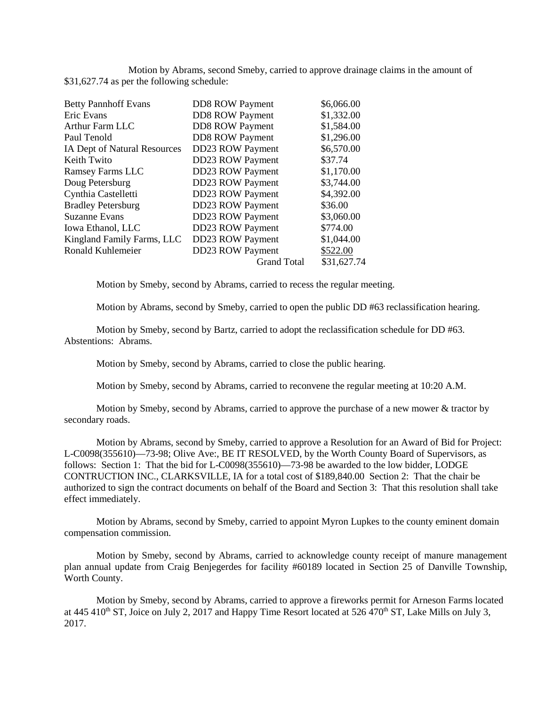Motion by Abrams, second Smeby, carried to approve drainage claims in the amount of \$31,627.74 as per the following schedule:

| <b>DD8 ROW Payment</b><br>\$1,332.00<br>Eric Evans<br><b>DD8 ROW Payment</b><br>\$1,584.00<br><b>Arthur Farm LLC</b><br><b>DD8 ROW Payment</b><br>\$1,296.00<br>Paul Tenold |             |
|-----------------------------------------------------------------------------------------------------------------------------------------------------------------------------|-------------|
|                                                                                                                                                                             |             |
|                                                                                                                                                                             |             |
|                                                                                                                                                                             |             |
| DD23 ROW Payment<br>IA Dept of Natural Resources                                                                                                                            | \$6,570.00  |
| DD23 ROW Payment<br>Keith Twito<br>\$37.74                                                                                                                                  |             |
| DD23 ROW Payment<br>\$1,170.00<br><b>Ramsey Farms LLC</b>                                                                                                                   |             |
| DD23 ROW Payment<br>Doug Petersburg<br>\$3,744.00                                                                                                                           |             |
| Cynthia Castelletti<br><b>DD23 ROW Payment</b><br>\$4,392.00                                                                                                                |             |
| <b>DD23 ROW Payment</b><br><b>Bradley Petersburg</b><br>\$36.00                                                                                                             |             |
| <b>Suzanne Evans</b><br><b>DD23 ROW Payment</b><br>\$3,060.00                                                                                                               |             |
| DD23 ROW Payment<br>\$774.00<br>Iowa Ethanol, LLC                                                                                                                           |             |
| DD23 ROW Payment<br>\$1,044.00<br>Kingland Family Farms, LLC                                                                                                                |             |
| DD23 ROW Payment<br>\$522.00<br>Ronald Kuhlemeier                                                                                                                           |             |
| <b>Grand Total</b>                                                                                                                                                          | \$31,627.74 |

Motion by Smeby, second by Abrams, carried to recess the regular meeting.

Motion by Abrams, second by Smeby, carried to open the public DD #63 reclassification hearing.

Motion by Smeby, second by Bartz, carried to adopt the reclassification schedule for DD #63. Abstentions: Abrams.

Motion by Smeby, second by Abrams, carried to close the public hearing.

Motion by Smeby, second by Abrams, carried to reconvene the regular meeting at 10:20 A.M.

Motion by Smeby, second by Abrams, carried to approve the purchase of a new mower & tractor by secondary roads.

Motion by Abrams, second by Smeby, carried to approve a Resolution for an Award of Bid for Project: L-C0098(355610)—73-98; Olive Ave:, BE IT RESOLVED, by the Worth County Board of Supervisors, as follows: Section 1: That the bid for L-C0098(355610)—73-98 be awarded to the low bidder, LODGE CONTRUCTION INC., CLARKSVILLE, IA for a total cost of \$189,840.00 Section 2: That the chair be authorized to sign the contract documents on behalf of the Board and Section 3: That this resolution shall take effect immediately.

Motion by Abrams, second by Smeby, carried to appoint Myron Lupkes to the county eminent domain compensation commission.

Motion by Smeby, second by Abrams, carried to acknowledge county receipt of manure management plan annual update from Craig Benjegerdes for facility #60189 located in Section 25 of Danville Township, Worth County.

Motion by Smeby, second by Abrams, carried to approve a fireworks permit for Arneson Farms located at 445 410<sup>th</sup> ST, Joice on July 2, 2017 and Happy Time Resort located at 526  $470<sup>th</sup>$  ST, Lake Mills on July 3, 2017.